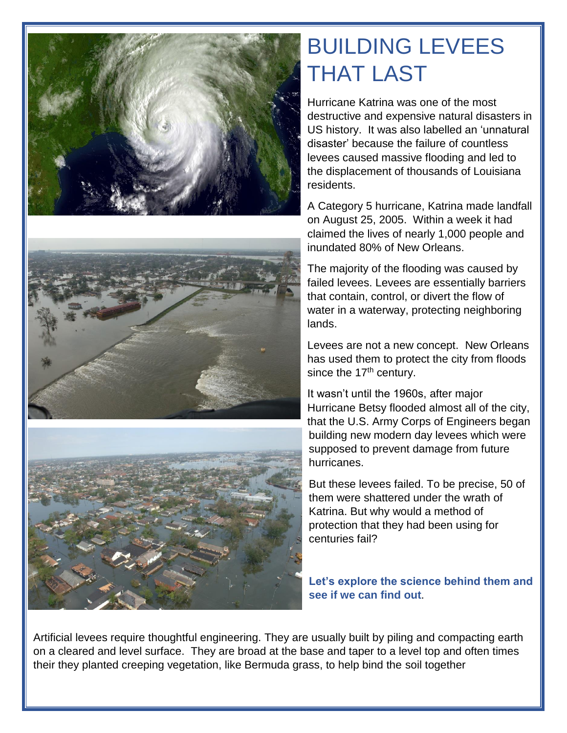



## BUILDING LEVEES THAT LAST

Hurricane Katrina was one of the most destructive and expensive natural disasters in US history. It was also labelled an 'unnatural disaster' because the failure of countless levees caused massive flooding and led to the displacement of thousands of Louisiana residents.

A Category 5 hurricane, Katrina made landfall on August 25, 2005. Within a week it had claimed the lives of nearly 1,000 people and inundated 80% of New Orleans.

The majority of the flooding was caused by failed levees. Levees are essentially barriers that contain, control, or divert the flow of water in a waterway, protecting neighboring lands.

Levees are not a new concept. New Orleans has used them to protect the city from floods since the  $17<sup>th</sup>$  century.

It wasn't until the 1960s, after major Hurricane Betsy flooded almost all of the city, that the U.S. Army Corps of Engineers began building new modern day levees which were supposed to prevent damage from future hurricanes.

But these levees failed. To be precise, 50 of them were shattered under the wrath of Katrina. But why would a method of protection that they had been using for centuries fail?

**Let's explore the science behind them and see if we can find out**.

Artificial levees require thoughtful engineering. They are usually built by piling and compacting earth on a cleared and level surface. They are broad at the base and taper to a level top and often times their they planted creeping vegetation, like Bermuda grass, to help bind the soil together